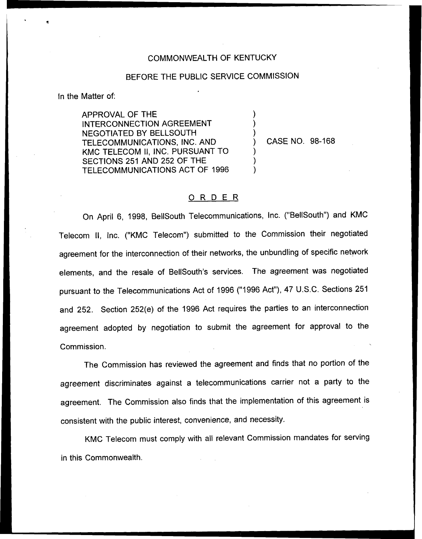## COMMONWEALTH OF KENTUCKY

## BEFORE THE PUBLIC SERVICE COMMISSION

) ) )

) ) )

In the Matter of:

APPROVAL OF THE INTERCONNECTION AGREEMENT NEGOTIATED BY BELLSOUTH TELECOMMUNICATIONS, INC. AND KMC TELECOM II, INC. PURSUANT TO SECTIONS 251 AND 252 OF THE TELECOMMUNICATIONS ACT OF 1996

) CASE NO. 98-168

## ORDER

On April 6, 1998, BellSouth Telecommunications, Inc. ("Be(ISouth") and KMC Telecom II, Inc. ("KMC Telecom") submitted to the Commission their negotiated agreement for the interconnection of their networks, the unbundling of specific network elements, and the resale of BellSouth's services. The agreement was negotiated pursuant to the Telecommunications Act of 1996 ("1996 Act"), 47 U.S.C. Sections 251 and 252. Section 252(e) of the 1996 Act requires the parties to an interconnection agreement adopted by negotiation to submit the agreement for approval to the Commission.

The Commission has reviewed the agreement and finds that no portion of the agreement discriminates against a telecommunications carrier not a party to the agreement. The Commission also finds that the implementation of this agreement is consistent with the public interest, convenience, and necessity.

KMC Telecom must comply with all relevant Commission mandates for serving in this Commonwealth.